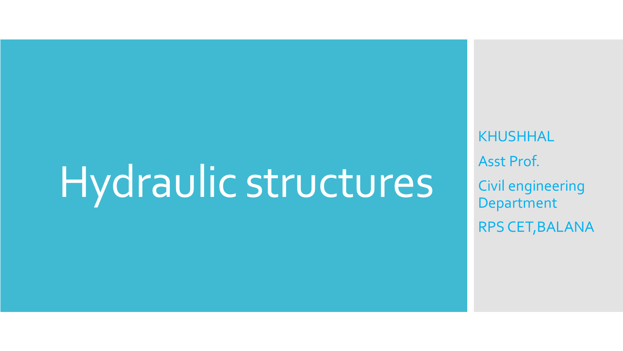# Hydraulic structures

KHUSHHAL Asst Prof. Civil engineering Department RPS CET,BALANA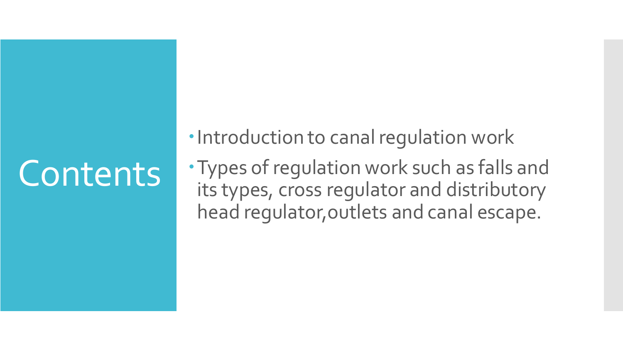#### **Contents**

**· Introduction to canal regulation work** 

Types of regulation work such as falls and its types, cross regulator and distributory head regulator,outlets and canal escape.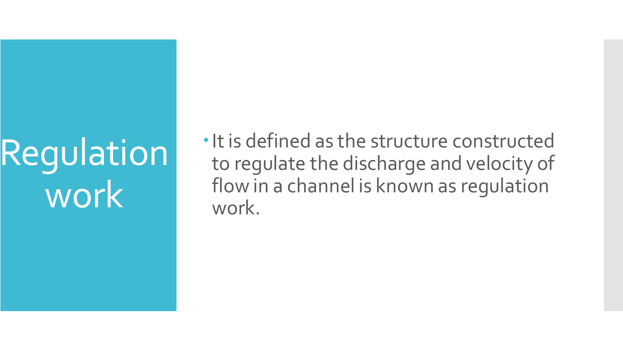## Regulation work

• It is defined as the structure constructed to regulate the discharge and velocity of flow in a channel is known as regulation work.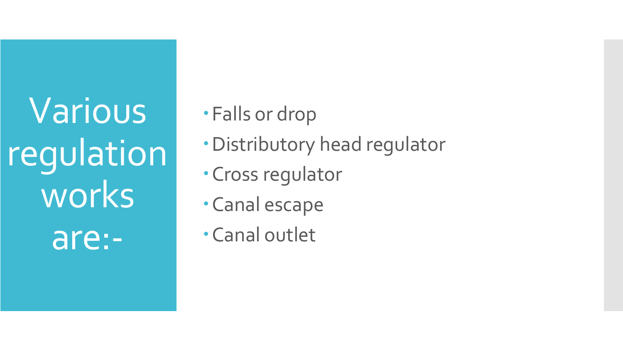Various regulation works are:-

- Falls or drop
- Distributory head regulator
- Cross regulator
- Canal escape
- Canal outlet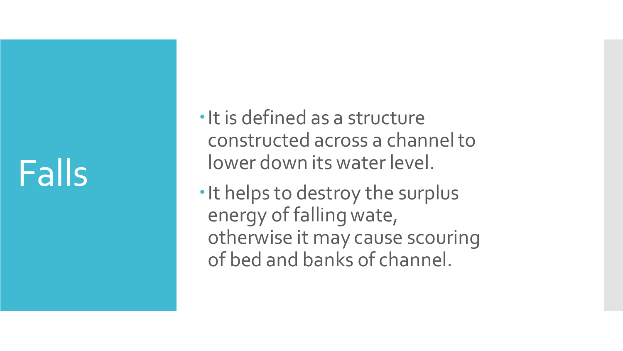#### Falls

· It is defined as a structure constructed across a channel to lower down its water level.

. It helps to destroy the surplus energy of falling wate, otherwise it may cause scouring of bed and banks of channel.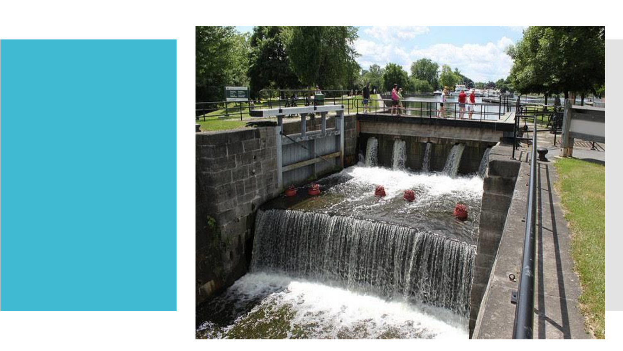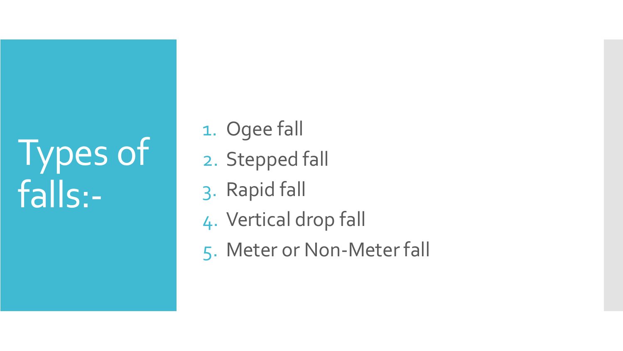### Types of falls:-

- 1. Ogee fall
- 2. Stepped fall
- 3. Rapid fall
- 4. Vertical drop fall
- 5. Meter or Non-Meter fall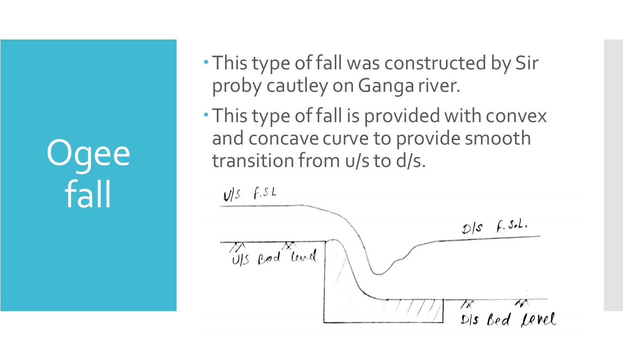Ogee fall

- This type of fall was constructed by Sir proby cautley on Ganga river.
- This type of fall is provided with convex and concave curve to provide smooth transition from u/s to d/s.

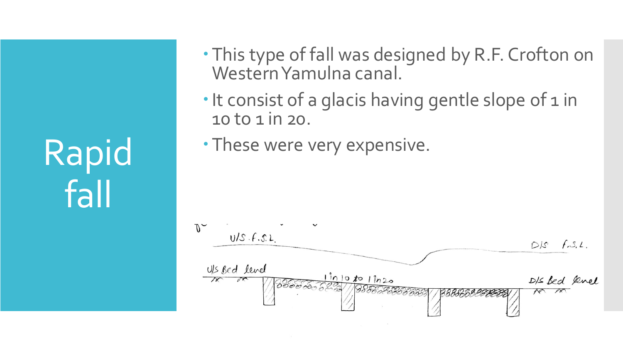Rapid fall

- This type of fall was designed by R.F. Crofton on Western Yamulna canal.
- It consist of a glacis having gentle slope of 1 in 10 to 1 in 20.
- These were very expensive.

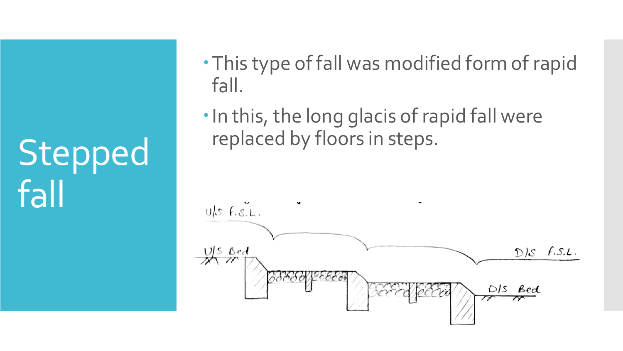### Stepped fall

- This type of fall was modified form of rapid fall.
- . In this, the long glacis of rapid fall were replaced by floors in steps.

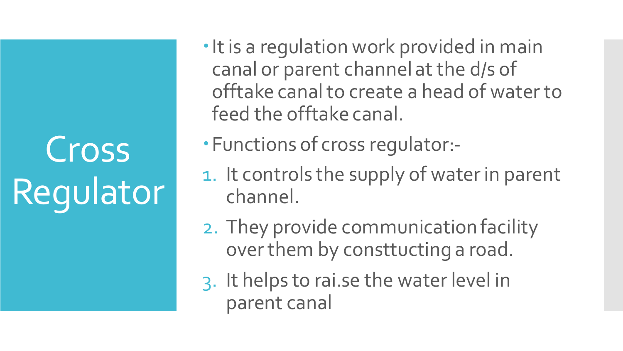Cross Regulator

- It is a regulation work provided in main canal or parent channel at the d/s of offtake canal to create a head of water to feed the offtake canal.
- Functions of cross regulator:-
- 1. It controls the supply of water in parent channel.
- 2. They provide communication facility over them by consttucting a road.
- 3. It helps to rai.se the water level in parent canal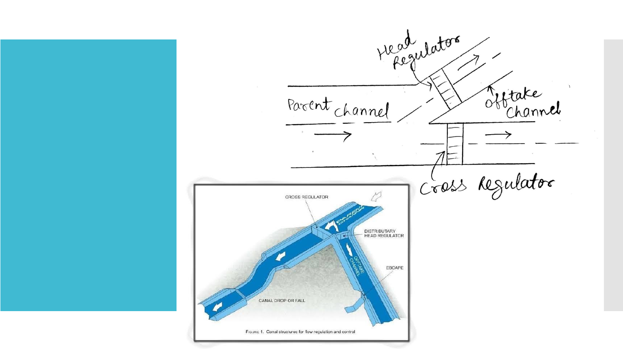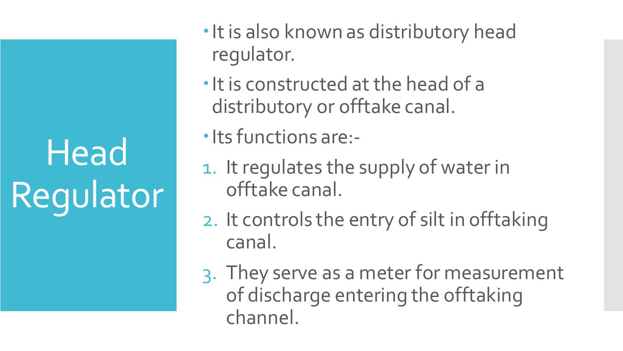**Head** Regulator

- . It is also known as distributory head regulator.
- . It is constructed at the head of a distributory or offtake canal.
- · Its functions are:-
- 1. It regulates the supply of water in offtake canal.
- 2. It controls the entry of silt in offtaking canal.
- 3. They serve as a meter for measurement of discharge entering the offtaking channel.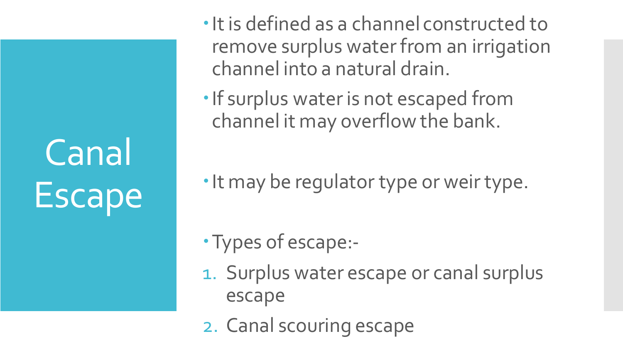Canal Escape

- It is defined as a channel constructed to remove surplus water from an irrigation channel into a natural drain.
- . If surplus water is not escaped from channel it may overflow the bank.

• It may be requlator type or weir type.

- Types of escape:-
- 1. Surplus water escape or canal surplus escape
- 2. Canal scouring escape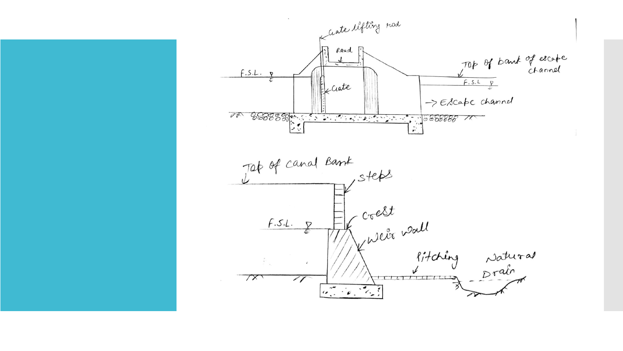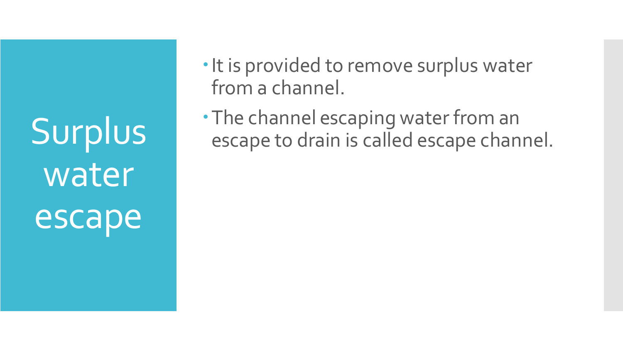Surplus water escape

- It is provided to remove surplus water from a channel.
- The channel escaping water from an escape to drain is called escape channel.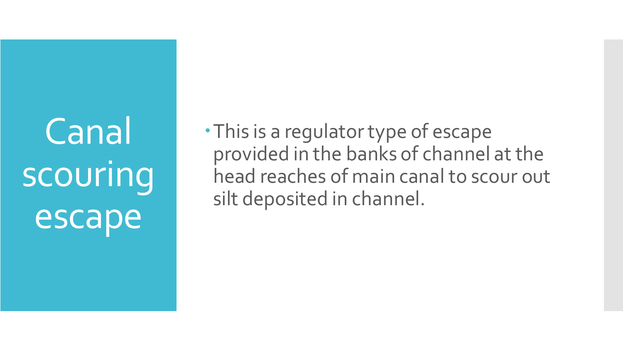**Canal** scouring escape

This is a regulator type of escape provided in the banks of channel at the head reaches of main canal to scour out silt deposited in channel.